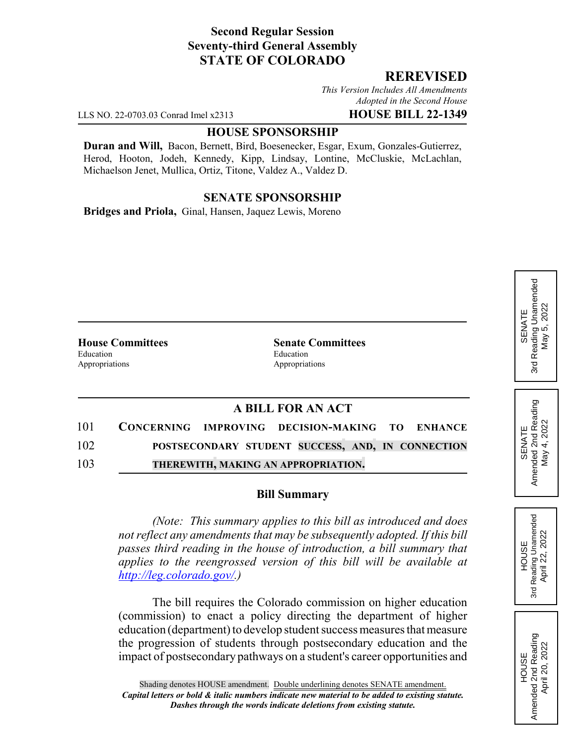### **Second Regular Session Seventy-third General Assembly STATE OF COLORADO**

#### **REREVISED**

*This Version Includes All Amendments Adopted in the Second House*

LLS NO. 22-0703.03 Conrad Imel x2313 **HOUSE BILL 22-1349**

#### **HOUSE SPONSORSHIP**

**Duran and Will,** Bacon, Bernett, Bird, Boesenecker, Esgar, Exum, Gonzales-Gutierrez, Herod, Hooton, Jodeh, Kennedy, Kipp, Lindsay, Lontine, McCluskie, McLachlan, Michaelson Jenet, Mullica, Ortiz, Titone, Valdez A., Valdez D.

# **SENATE SPONSORSHIP**

**Bridges and Priola,** Ginal, Hansen, Jaquez Lewis, Moreno

Education **Exercise Education** Appropriations Appropriations

**House Committees Senate Committees**

# **A BILL FOR AN ACT**

| 101 | CONCERNING IMPROVING DECISION-MAKING TO ENHANCE   |  |
|-----|---------------------------------------------------|--|
| 102 | POSTSECONDARY STUDENT SUCCESS, AND, IN CONNECTION |  |
| 103 | THEREWITH, MAKING AN APPROPRIATION.               |  |

#### **Bill Summary**

*(Note: This summary applies to this bill as introduced and does not reflect any amendments that may be subsequently adopted. If this bill passes third reading in the house of introduction, a bill summary that applies to the reengrossed version of this bill will be available at http://leg.colorado.gov/.)*

The bill requires the Colorado commission on higher education (commission) to enact a policy directing the department of higher education (department) to develop student success measures that measure the progression of students through postsecondary education and the impact of postsecondary pathways on a student's career opportunities and SENATE<br>Amended 2nd Reading Amended 2nd Reading May 4, 2022

May 4, 2022

**HOUSE** 3rd Reading Unamended April 22, 2022

Reading Unamended April 22, 2022

3rd

HOUSE<br>Amended 2nd Reading Amended 2nd Reading April 20, 2022

April 20, 2022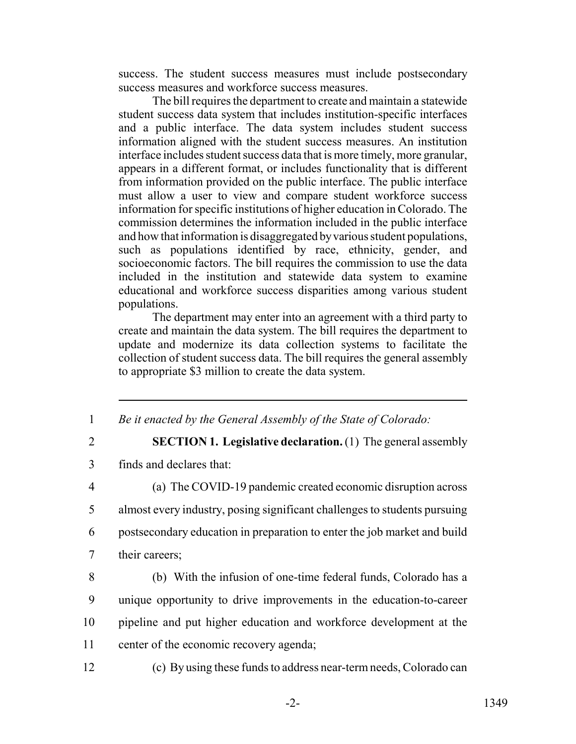success. The student success measures must include postsecondary success measures and workforce success measures.

The bill requires the department to create and maintain a statewide student success data system that includes institution-specific interfaces and a public interface. The data system includes student success information aligned with the student success measures. An institution interface includes student success data that is more timely, more granular, appears in a different format, or includes functionality that is different from information provided on the public interface. The public interface must allow a user to view and compare student workforce success information for specific institutions of higher education in Colorado. The commission determines the information included in the public interface and how that information is disaggregated by various student populations, such as populations identified by race, ethnicity, gender, and socioeconomic factors. The bill requires the commission to use the data included in the institution and statewide data system to examine educational and workforce success disparities among various student populations.

The department may enter into an agreement with a third party to create and maintain the data system. The bill requires the department to update and modernize its data collection systems to facilitate the collection of student success data. The bill requires the general assembly to appropriate \$3 million to create the data system.

- 1 *Be it enacted by the General Assembly of the State of Colorado:*
- 

2 **SECTION 1. Legislative declaration.** (1) The general assembly

3 finds and declares that:

 (a) The COVID-19 pandemic created economic disruption across almost every industry, posing significant challenges to students pursuing postsecondary education in preparation to enter the job market and build their careers;

- 8 (b) With the infusion of one-time federal funds, Colorado has a 9 unique opportunity to drive improvements in the education-to-career 10 pipeline and put higher education and workforce development at the 11 center of the economic recovery agenda;
- 

12 (c) By using these funds to address near-term needs, Colorado can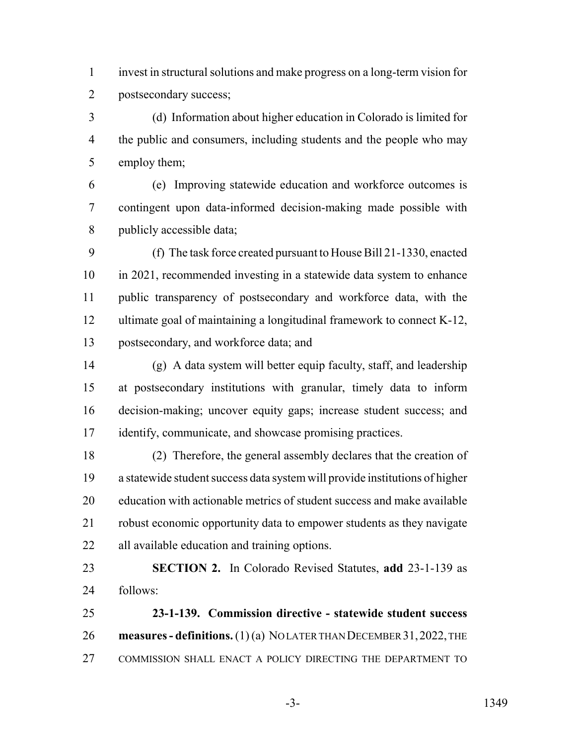invest in structural solutions and make progress on a long-term vision for postsecondary success;

 (d) Information about higher education in Colorado is limited for 4 the public and consumers, including students and the people who may employ them;

 (e) Improving statewide education and workforce outcomes is contingent upon data-informed decision-making made possible with publicly accessible data;

 (f) The task force created pursuant to House Bill 21-1330, enacted in 2021, recommended investing in a statewide data system to enhance public transparency of postsecondary and workforce data, with the ultimate goal of maintaining a longitudinal framework to connect K-12, postsecondary, and workforce data; and

 (g) A data system will better equip faculty, staff, and leadership at postsecondary institutions with granular, timely data to inform decision-making; uncover equity gaps; increase student success; and identify, communicate, and showcase promising practices.

 (2) Therefore, the general assembly declares that the creation of a statewide student success data system will provide institutions of higher education with actionable metrics of student success and make available robust economic opportunity data to empower students as they navigate all available education and training options.

 **SECTION 2.** In Colorado Revised Statutes, **add** 23-1-139 as follows:

 **23-1-139. Commission directive - statewide student success measures - definitions.** (1)(a) NOLATER THAN DECEMBER 31, 2022, THE COMMISSION SHALL ENACT A POLICY DIRECTING THE DEPARTMENT TO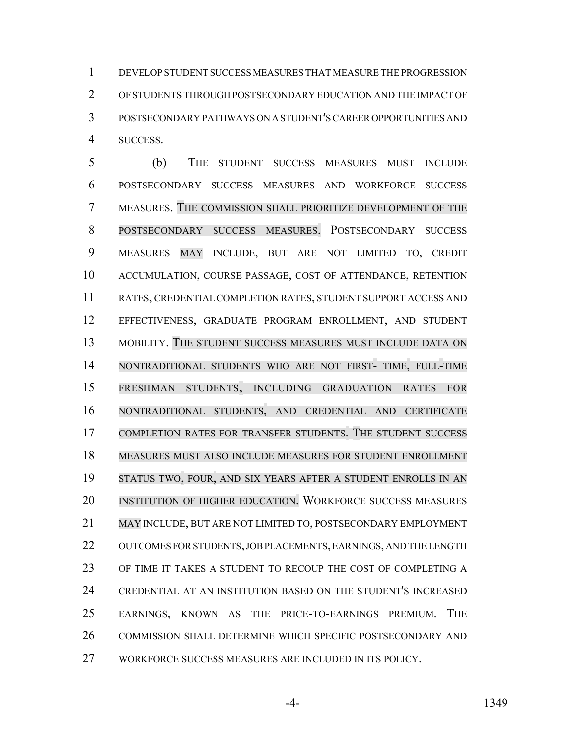DEVELOP STUDENT SUCCESS MEASURES THAT MEASURE THE PROGRESSION OF STUDENTS THROUGH POSTSECONDARY EDUCATION AND THE IMPACT OF POSTSECONDARY PATHWAYS ON A STUDENT'S CAREER OPPORTUNITIES AND SUCCESS.

 (b) THE STUDENT SUCCESS MEASURES MUST INCLUDE POSTSECONDARY SUCCESS MEASURES AND WORKFORCE SUCCESS MEASURES. THE COMMISSION SHALL PRIORITIZE DEVELOPMENT OF THE POSTSECONDARY SUCCESS MEASURES. POSTSECONDARY SUCCESS MEASURES MAY INCLUDE, BUT ARE NOT LIMITED TO, CREDIT ACCUMULATION, COURSE PASSAGE, COST OF ATTENDANCE, RETENTION RATES, CREDENTIAL COMPLETION RATES, STUDENT SUPPORT ACCESS AND EFFECTIVENESS, GRADUATE PROGRAM ENROLLMENT, AND STUDENT MOBILITY. THE STUDENT SUCCESS MEASURES MUST INCLUDE DATA ON NONTRADITIONAL STUDENTS WHO ARE NOT FIRST- TIME, FULL-TIME FRESHMAN STUDENTS, INCLUDING GRADUATION RATES FOR NONTRADITIONAL STUDENTS, AND CREDENTIAL AND CERTIFICATE COMPLETION RATES FOR TRANSFER STUDENTS. THE STUDENT SUCCESS MEASURES MUST ALSO INCLUDE MEASURES FOR STUDENT ENROLLMENT STATUS TWO, FOUR, AND SIX YEARS AFTER A STUDENT ENROLLS IN AN INSTITUTION OF HIGHER EDUCATION. WORKFORCE SUCCESS MEASURES MAY INCLUDE, BUT ARE NOT LIMITED TO, POSTSECONDARY EMPLOYMENT OUTCOMES FOR STUDENTS, JOB PLACEMENTS, EARNINGS, AND THE LENGTH OF TIME IT TAKES A STUDENT TO RECOUP THE COST OF COMPLETING A CREDENTIAL AT AN INSTITUTION BASED ON THE STUDENT'S INCREASED EARNINGS, KNOWN AS THE PRICE-TO-EARNINGS PREMIUM. THE COMMISSION SHALL DETERMINE WHICH SPECIFIC POSTSECONDARY AND WORKFORCE SUCCESS MEASURES ARE INCLUDED IN ITS POLICY.

-4- 1349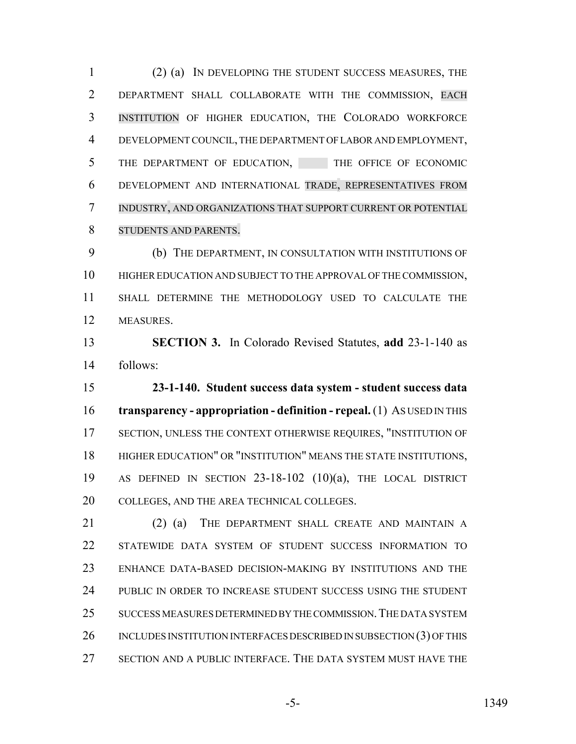(2) (a) IN DEVELOPING THE STUDENT SUCCESS MEASURES, THE DEPARTMENT SHALL COLLABORATE WITH THE COMMISSION, EACH INSTITUTION OF HIGHER EDUCATION, THE COLORADO WORKFORCE DEVELOPMENT COUNCIL, THE DEPARTMENT OF LABOR AND EMPLOYMENT, THE DEPARTMENT OF EDUCATION, THE OFFICE OF ECONOMIC DEVELOPMENT AND INTERNATIONAL TRADE, REPRESENTATIVES FROM INDUSTRY, AND ORGANIZATIONS THAT SUPPORT CURRENT OR POTENTIAL STUDENTS AND PARENTS.

 (b) THE DEPARTMENT, IN CONSULTATION WITH INSTITUTIONS OF HIGHER EDUCATION AND SUBJECT TO THE APPROVAL OF THE COMMISSION, SHALL DETERMINE THE METHODOLOGY USED TO CALCULATE THE MEASURES.

 **SECTION 3.** In Colorado Revised Statutes, **add** 23-1-140 as follows:

 **23-1-140. Student success data system - student success data transparency - appropriation - definition - repeal.** (1) AS USED IN THIS SECTION, UNLESS THE CONTEXT OTHERWISE REQUIRES, "INSTITUTION OF HIGHER EDUCATION" OR "INSTITUTION" MEANS THE STATE INSTITUTIONS, AS DEFINED IN SECTION 23-18-102 (10)(a), THE LOCAL DISTRICT COLLEGES, AND THE AREA TECHNICAL COLLEGES.

21 (2) (a) THE DEPARTMENT SHALL CREATE AND MAINTAIN A STATEWIDE DATA SYSTEM OF STUDENT SUCCESS INFORMATION TO ENHANCE DATA-BASED DECISION-MAKING BY INSTITUTIONS AND THE PUBLIC IN ORDER TO INCREASE STUDENT SUCCESS USING THE STUDENT SUCCESS MEASURES DETERMINED BY THE COMMISSION.THE DATA SYSTEM 26 INCLUDES INSTITUTION INTERFACES DESCRIBED IN SUBSECTION (3) OF THIS SECTION AND A PUBLIC INTERFACE. THE DATA SYSTEM MUST HAVE THE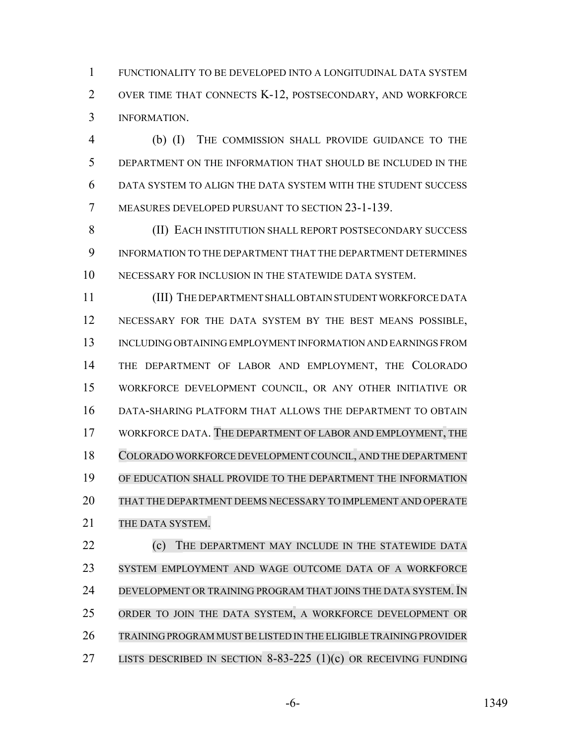FUNCTIONALITY TO BE DEVELOPED INTO A LONGITUDINAL DATA SYSTEM OVER TIME THAT CONNECTS K-12, POSTSECONDARY, AND WORKFORCE INFORMATION.

 (b) (I) THE COMMISSION SHALL PROVIDE GUIDANCE TO THE DEPARTMENT ON THE INFORMATION THAT SHOULD BE INCLUDED IN THE DATA SYSTEM TO ALIGN THE DATA SYSTEM WITH THE STUDENT SUCCESS MEASURES DEVELOPED PURSUANT TO SECTION 23-1-139.

 (II) EACH INSTITUTION SHALL REPORT POSTSECONDARY SUCCESS INFORMATION TO THE DEPARTMENT THAT THE DEPARTMENT DETERMINES NECESSARY FOR INCLUSION IN THE STATEWIDE DATA SYSTEM.

 (III) THE DEPARTMENT SHALL OBTAIN STUDENT WORKFORCE DATA NECESSARY FOR THE DATA SYSTEM BY THE BEST MEANS POSSIBLE, INCLUDING OBTAINING EMPLOYMENT INFORMATION AND EARNINGS FROM THE DEPARTMENT OF LABOR AND EMPLOYMENT, THE COLORADO WORKFORCE DEVELOPMENT COUNCIL, OR ANY OTHER INITIATIVE OR DATA-SHARING PLATFORM THAT ALLOWS THE DEPARTMENT TO OBTAIN WORKFORCE DATA. THE DEPARTMENT OF LABOR AND EMPLOYMENT, THE COLORADO WORKFORCE DEVELOPMENT COUNCIL, AND THE DEPARTMENT OF EDUCATION SHALL PROVIDE TO THE DEPARTMENT THE INFORMATION THAT THE DEPARTMENT DEEMS NECESSARY TO IMPLEMENT AND OPERATE 21 THE DATA SYSTEM.

**(c)** THE DEPARTMENT MAY INCLUDE IN THE STATEWIDE DATA SYSTEM EMPLOYMENT AND WAGE OUTCOME DATA OF A WORKFORCE 24 DEVELOPMENT OR TRAINING PROGRAM THAT JOINS THE DATA SYSTEM. IN ORDER TO JOIN THE DATA SYSTEM, A WORKFORCE DEVELOPMENT OR TRAINING PROGRAM MUSTBE LISTED IN THE ELIGIBLE TRAINING PROVIDER LISTS DESCRIBED IN SECTION 8-83-225 (1)(c) OR RECEIVING FUNDING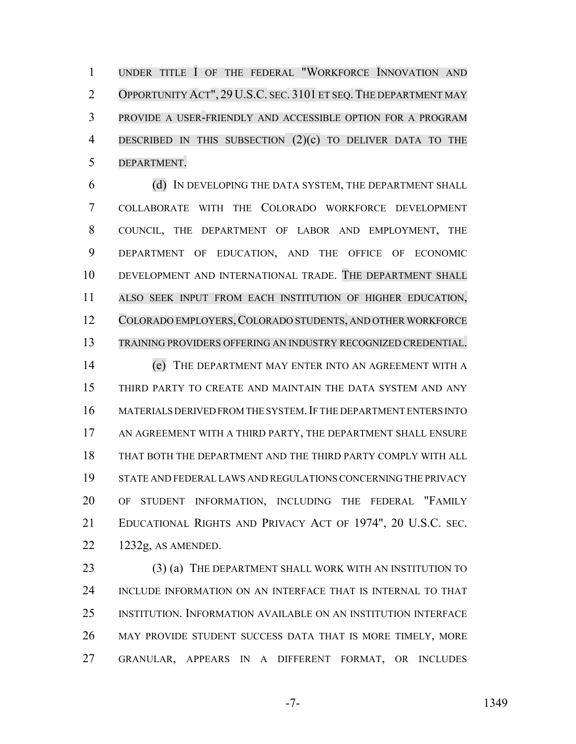1 UNDER TITLE I OF THE FEDERAL "WORKFORCE INNOVATION AND OPPORTUNITY ACT", 29 U.S.C. SEC. 3101 ET SEQ.THE DEPARTMENT MAY PROVIDE A USER-FRIENDLY AND ACCESSIBLE OPTION FOR A PROGRAM DESCRIBED IN THIS SUBSECTION (2)(c) TO DELIVER DATA TO THE DEPARTMENT.

 (d) IN DEVELOPING THE DATA SYSTEM, THE DEPARTMENT SHALL COLLABORATE WITH THE COLORADO WORKFORCE DEVELOPMENT COUNCIL, THE DEPARTMENT OF LABOR AND EMPLOYMENT, THE DEPARTMENT OF EDUCATION, AND THE OFFICE OF ECONOMIC DEVELOPMENT AND INTERNATIONAL TRADE. THE DEPARTMENT SHALL ALSO SEEK INPUT FROM EACH INSTITUTION OF HIGHER EDUCATION, 12 COLORADO EMPLOYERS, COLORADO STUDENTS, AND OTHER WORKFORCE TRAINING PROVIDERS OFFERING AN INDUSTRY RECOGNIZED CREDENTIAL.

 (e) THE DEPARTMENT MAY ENTER INTO AN AGREEMENT WITH A THIRD PARTY TO CREATE AND MAINTAIN THE DATA SYSTEM AND ANY MATERIALS DERIVED FROM THE SYSTEM.IF THE DEPARTMENT ENTERS INTO AN AGREEMENT WITH A THIRD PARTY, THE DEPARTMENT SHALL ENSURE THAT BOTH THE DEPARTMENT AND THE THIRD PARTY COMPLY WITH ALL STATE AND FEDERAL LAWS AND REGULATIONS CONCERNING THE PRIVACY OF STUDENT INFORMATION, INCLUDING THE FEDERAL "FAMILY EDUCATIONAL RIGHTS AND PRIVACY ACT OF 1974", 20 U.S.C. SEC. 1232g, AS AMENDED.

23 (3) (a) THE DEPARTMENT SHALL WORK WITH AN INSTITUTION TO INCLUDE INFORMATION ON AN INTERFACE THAT IS INTERNAL TO THAT INSTITUTION. INFORMATION AVAILABLE ON AN INSTITUTION INTERFACE MAY PROVIDE STUDENT SUCCESS DATA THAT IS MORE TIMELY, MORE GRANULAR, APPEARS IN A DIFFERENT FORMAT, OR INCLUDES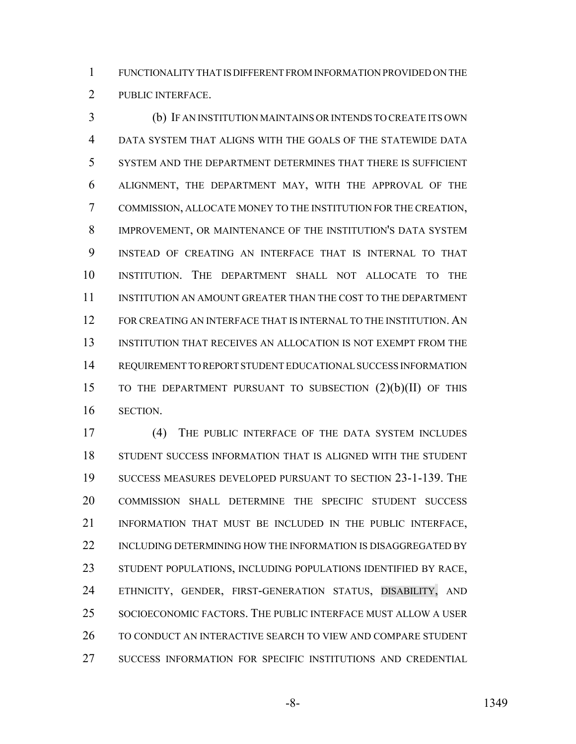FUNCTIONALITY THAT IS DIFFERENT FROM INFORMATION PROVIDED ON THE PUBLIC INTERFACE.

 (b) IF AN INSTITUTION MAINTAINS OR INTENDS TO CREATE ITS OWN DATA SYSTEM THAT ALIGNS WITH THE GOALS OF THE STATEWIDE DATA SYSTEM AND THE DEPARTMENT DETERMINES THAT THERE IS SUFFICIENT ALIGNMENT, THE DEPARTMENT MAY, WITH THE APPROVAL OF THE COMMISSION, ALLOCATE MONEY TO THE INSTITUTION FOR THE CREATION, IMPROVEMENT, OR MAINTENANCE OF THE INSTITUTION'S DATA SYSTEM INSTEAD OF CREATING AN INTERFACE THAT IS INTERNAL TO THAT INSTITUTION. THE DEPARTMENT SHALL NOT ALLOCATE TO THE INSTITUTION AN AMOUNT GREATER THAN THE COST TO THE DEPARTMENT FOR CREATING AN INTERFACE THAT IS INTERNAL TO THE INSTITUTION. AN INSTITUTION THAT RECEIVES AN ALLOCATION IS NOT EXEMPT FROM THE REQUIREMENT TO REPORT STUDENT EDUCATIONAL SUCCESS INFORMATION TO THE DEPARTMENT PURSUANT TO SUBSECTION (2)(b)(II) OF THIS SECTION.

 (4) THE PUBLIC INTERFACE OF THE DATA SYSTEM INCLUDES STUDENT SUCCESS INFORMATION THAT IS ALIGNED WITH THE STUDENT SUCCESS MEASURES DEVELOPED PURSUANT TO SECTION 23-1-139. THE COMMISSION SHALL DETERMINE THE SPECIFIC STUDENT SUCCESS INFORMATION THAT MUST BE INCLUDED IN THE PUBLIC INTERFACE, 22 INCLUDING DETERMINING HOW THE INFORMATION IS DISAGGREGATED BY STUDENT POPULATIONS, INCLUDING POPULATIONS IDENTIFIED BY RACE, ETHNICITY, GENDER, FIRST-GENERATION STATUS, DISABILITY, AND SOCIOECONOMIC FACTORS. THE PUBLIC INTERFACE MUST ALLOW A USER TO CONDUCT AN INTERACTIVE SEARCH TO VIEW AND COMPARE STUDENT SUCCESS INFORMATION FOR SPECIFIC INSTITUTIONS AND CREDENTIAL

-8- 1349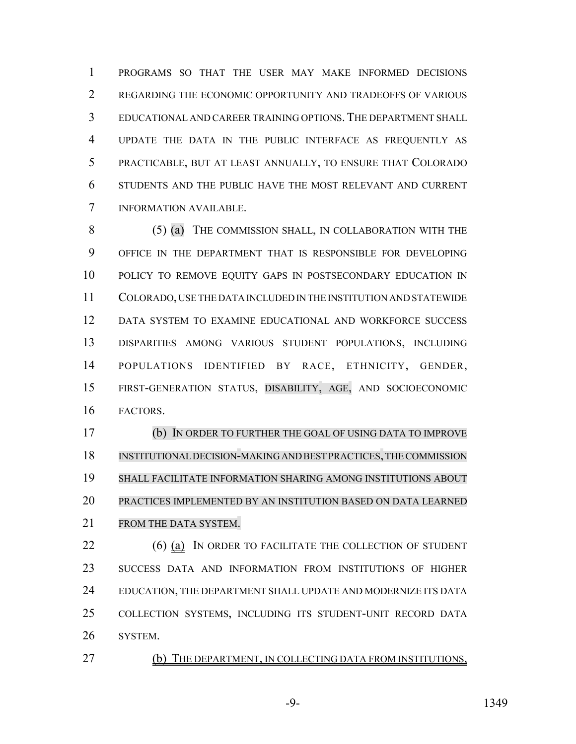PROGRAMS SO THAT THE USER MAY MAKE INFORMED DECISIONS 2 REGARDING THE ECONOMIC OPPORTUNITY AND TRADEOFFS OF VARIOUS EDUCATIONAL AND CAREER TRAINING OPTIONS.THE DEPARTMENT SHALL UPDATE THE DATA IN THE PUBLIC INTERFACE AS FREQUENTLY AS PRACTICABLE, BUT AT LEAST ANNUALLY, TO ENSURE THAT COLORADO STUDENTS AND THE PUBLIC HAVE THE MOST RELEVANT AND CURRENT INFORMATION AVAILABLE.

8 (5) (a) THE COMMISSION SHALL, IN COLLABORATION WITH THE OFFICE IN THE DEPARTMENT THAT IS RESPONSIBLE FOR DEVELOPING POLICY TO REMOVE EQUITY GAPS IN POSTSECONDARY EDUCATION IN COLORADO, USE THE DATA INCLUDED IN THE INSTITUTION AND STATEWIDE DATA SYSTEM TO EXAMINE EDUCATIONAL AND WORKFORCE SUCCESS DISPARITIES AMONG VARIOUS STUDENT POPULATIONS, INCLUDING POPULATIONS IDENTIFIED BY RACE, ETHNICITY, GENDER, FIRST-GENERATION STATUS, DISABILITY, AGE, AND SOCIOECONOMIC FACTORS.

 (b) IN ORDER TO FURTHER THE GOAL OF USING DATA TO IMPROVE INSTITUTIONAL DECISION-MAKING AND BEST PRACTICES,THECOMMISSION SHALL FACILITATE INFORMATION SHARING AMONG INSTITUTIONS ABOUT PRACTICES IMPLEMENTED BY AN INSTITUTION BASED ON DATA LEARNED 21 FROM THE DATA SYSTEM.

 (6) (a) IN ORDER TO FACILITATE THE COLLECTION OF STUDENT SUCCESS DATA AND INFORMATION FROM INSTITUTIONS OF HIGHER 24 EDUCATION, THE DEPARTMENT SHALL UPDATE AND MODERNIZE ITS DATA COLLECTION SYSTEMS, INCLUDING ITS STUDENT-UNIT RECORD DATA SYSTEM.

(b) THE DEPARTMENT, IN COLLECTING DATA FROM INSTITUTIONS,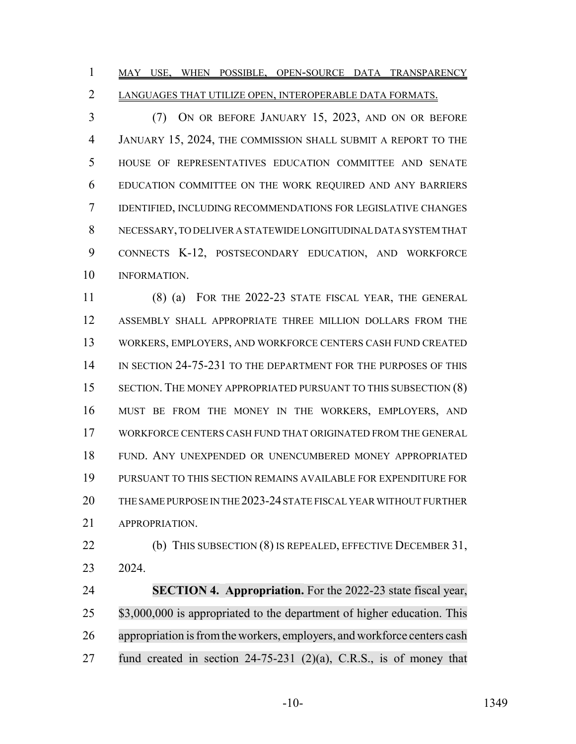1 MAY USE, WHEN POSSIBLE, OPEN-SOURCE DATA TRANSPARENCY LANGUAGES THAT UTILIZE OPEN, INTEROPERABLE DATA FORMATS.

 (7) ON OR BEFORE JANUARY 15, 2023, AND ON OR BEFORE JANUARY 15, 2024, THE COMMISSION SHALL SUBMIT A REPORT TO THE HOUSE OF REPRESENTATIVES EDUCATION COMMITTEE AND SENATE EDUCATION COMMITTEE ON THE WORK REQUIRED AND ANY BARRIERS IDENTIFIED, INCLUDING RECOMMENDATIONS FOR LEGISLATIVE CHANGES NECESSARY, TO DELIVER A STATEWIDE LONGITUDINAL DATA SYSTEM THAT CONNECTS K-12, POSTSECONDARY EDUCATION, AND WORKFORCE INFORMATION.

 (8) (a) FOR THE 2022-23 STATE FISCAL YEAR, THE GENERAL ASSEMBLY SHALL APPROPRIATE THREE MILLION DOLLARS FROM THE WORKERS, EMPLOYERS, AND WORKFORCE CENTERS CASH FUND CREATED 14 IN SECTION 24-75-231 TO THE DEPARTMENT FOR THE PURPOSES OF THIS 15 SECTION. THE MONEY APPROPRIATED PURSUANT TO THIS SUBSECTION (8) MUST BE FROM THE MONEY IN THE WORKERS, EMPLOYERS, AND WORKFORCE CENTERS CASH FUND THAT ORIGINATED FROM THE GENERAL FUND. ANY UNEXPENDED OR UNENCUMBERED MONEY APPROPRIATED PURSUANT TO THIS SECTION REMAINS AVAILABLE FOR EXPENDITURE FOR THE SAME PURPOSE IN THE 2023-24 STATE FISCAL YEAR WITHOUT FURTHER APPROPRIATION.

 (b) THIS SUBSECTION (8) IS REPEALED, EFFECTIVE DECEMBER 31, 2024.

 **SECTION 4. Appropriation.** For the 2022-23 state fiscal year, 25 \$3,000,000 is appropriated to the department of higher education. This 26 appropriation is from the workers, employers, and workforce centers cash fund created in section 24-75-231 (2)(a), C.R.S., is of money that